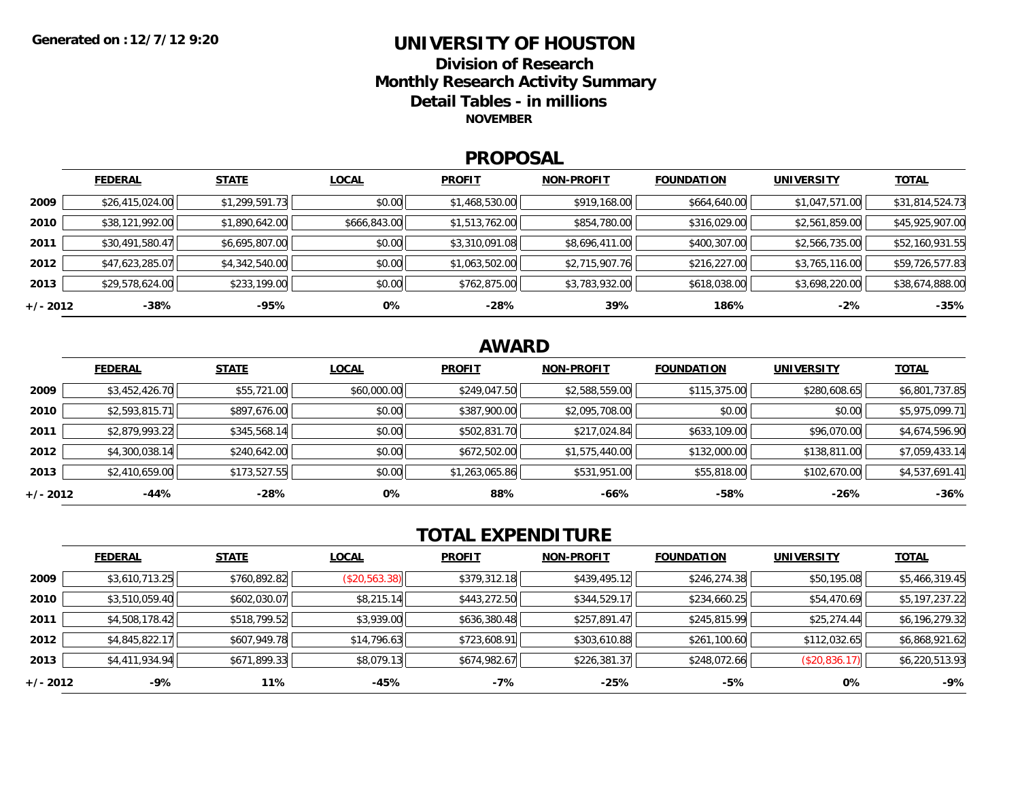### **UNIVERSITY OF HOUSTONDivision of ResearchMonthly Research Activity Summary Detail Tables - in millions NOVEMBER**

### **PROPOSAL**

|            | <b>FEDERAL</b>  | <b>STATE</b>   | <b>LOCAL</b> | <b>PROFIT</b>  | <b>NON-PROFIT</b> | <b>FOUNDATION</b> | <b>UNIVERSITY</b> | <u>TOTAL</u>    |
|------------|-----------------|----------------|--------------|----------------|-------------------|-------------------|-------------------|-----------------|
| 2009       | \$26,415,024.00 | \$1,299,591.73 | \$0.00       | \$1,468,530.00 | \$919,168.00      | \$664,640.00      | \$1,047,571.00    | \$31,814,524.73 |
| 2010       | \$38,121,992.00 | \$1,890,642.00 | \$666,843.00 | \$1,513,762.00 | \$854,780.00      | \$316,029.00      | \$2,561,859.00    | \$45,925,907.00 |
| 2011       | \$30,491,580.47 | \$6,695,807.00 | \$0.00       | \$3,310,091.08 | \$8,696,411.00    | \$400,307.00      | \$2,566,735.00    | \$52,160,931.55 |
| 2012       | \$47,623,285.07 | \$4,342,540.00 | \$0.00       | \$1,063,502.00 | \$2,715,907.76    | \$216,227.00      | \$3,765,116.00    | \$59,726,577.83 |
| 2013       | \$29,578,624.00 | \$233,199.00   | \$0.00       | \$762,875.00   | \$3,783,932.00    | \$618,038.00      | \$3,698,220.00    | \$38,674,888.00 |
| $+/- 2012$ | $-38%$          | -95%           | 0%           | $-28%$         | 39%               | 186%              | $-2%$             | $-35%$          |

## **AWARD**

|          | <b>FEDERAL</b> | <b>STATE</b> | <b>LOCAL</b> | <b>PROFIT</b>  | <b>NON-PROFIT</b> | <b>FOUNDATION</b> | <b>UNIVERSITY</b> | <b>TOTAL</b>   |
|----------|----------------|--------------|--------------|----------------|-------------------|-------------------|-------------------|----------------|
| 2009     | \$3,452,426.70 | \$55,721.00  | \$60,000.00  | \$249,047.50   | \$2,588,559.00    | \$115,375.00      | \$280,608.65      | \$6,801,737.85 |
| 2010     | \$2,593,815.71 | \$897,676.00 | \$0.00       | \$387,900.00   | \$2,095,708.00    | \$0.00            | \$0.00            | \$5,975,099.71 |
| 2011     | \$2,879,993.22 | \$345,568.14 | \$0.00       | \$502,831.70   | \$217,024.84      | \$633,109.00      | \$96,070.00       | \$4,674,596.90 |
| 2012     | \$4,300,038.14 | \$240,642.00 | \$0.00       | \$672,502.00   | \$1,575,440.00    | \$132,000.00      | \$138,811.00      | \$7,059,433.14 |
| 2013     | \$2,410,659.00 | \$173,527.55 | \$0.00       | \$1,263,065.86 | \$531,951.00      | \$55,818.00       | \$102,670.00      | \$4,537,691.41 |
| +/- 2012 | -44%           | $-28%$       | 0%           | 88%            | -66%              | $-58%$            | $-26%$            | $-36%$         |

# **TOTAL EXPENDITURE**

|          | <b>FEDERAL</b> | <b>STATE</b> | <b>LOCAL</b>  | <b>PROFIT</b> | <b>NON-PROFIT</b> | <b>FOUNDATION</b> | <b>UNIVERSITY</b> | <b>TOTAL</b>   |
|----------|----------------|--------------|---------------|---------------|-------------------|-------------------|-------------------|----------------|
| 2009     | \$3,610,713.25 | \$760,892.82 | (\$20,563.38) | \$379,312.18  | \$439,495.12      | \$246,274.38      | \$50,195.08       | \$5,466,319.45 |
| 2010     | \$3,510,059.40 | \$602,030.07 | \$8,215.14    | \$443,272.50  | \$344,529.17      | \$234,660.25      | \$54,470.69       | \$5,197,237.22 |
| 2011     | \$4,508,178.42 | \$518,799.52 | \$3,939.00    | \$636,380.48  | \$257,891.47      | \$245,815.99      | \$25,274.44       | \$6,196,279.32 |
| 2012     | \$4,845,822.17 | \$607,949.78 | \$14,796.63   | \$723,608.91  | \$303,610.88      | \$261,100.60      | \$112,032.65      | \$6,868,921.62 |
| 2013     | \$4,411,934.94 | \$671,899.33 | \$8,079.13    | \$674,982.67  | \$226,381.37      | \$248,072.66      | (\$20,836.17)     | \$6,220,513.93 |
| +/- 2012 | -9%            | 11%          | -45%          | $-7%$         | $-25%$            | -5%               | 0%                | $-9%$          |